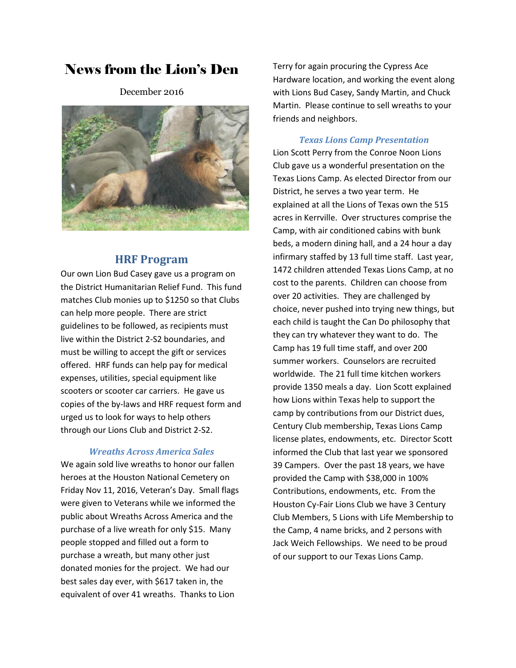# News from the Lion's Den

December 2016



### **HRF Program**

Our own Lion Bud Casey gave us a program on the District Humanitarian Relief Fund. This fund matches Club monies up to \$1250 so that Clubs can help more people. There are strict guidelines to be followed, as recipients must live within the District 2-S2 boundaries, and must be willing to accept the gift or services offered. HRF funds can help pay for medical expenses, utilities, special equipment like scooters or scooter car carriers. He gave us copies of the by-laws and HRF request form and urged us to look for ways to help others through our Lions Club and District 2-S2.

#### *Wreaths Across America Sales*

We again sold live wreaths to honor our fallen heroes at the Houston National Cemetery on Friday Nov 11, 2016, Veteran's Day. Small flags were given to Veterans while we informed the public about Wreaths Across America and the purchase of a live wreath for only \$15. Many people stopped and filled out a form to purchase a wreath, but many other just donated monies for the project. We had our best sales day ever, with \$617 taken in, the equivalent of over 41 wreaths. Thanks to Lion

Terry for again procuring the Cypress Ace Hardware location, and working the event along with Lions Bud Casey, Sandy Martin, and Chuck Martin. Please continue to sell wreaths to your friends and neighbors.

#### *Texas Lions Camp Presentation*

Lion Scott Perry from the Conroe Noon Lions Club gave us a wonderful presentation on the Texas Lions Camp. As elected Director from our District, he serves a two year term. He explained at all the Lions of Texas own the 515 acres in Kerrville. Over structures comprise the Camp, with air conditioned cabins with bunk beds, a modern dining hall, and a 24 hour a day infirmary staffed by 13 full time staff. Last year, 1472 children attended Texas Lions Camp, at no cost to the parents. Children can choose from over 20 activities. They are challenged by choice, never pushed into trying new things, but each child is taught the Can Do philosophy that they can try whatever they want to do. The Camp has 19 full time staff, and over 200 summer workers. Counselors are recruited worldwide. The 21 full time kitchen workers provide 1350 meals a day. Lion Scott explained how Lions within Texas help to support the camp by contributions from our District dues, Century Club membership, Texas Lions Camp license plates, endowments, etc. Director Scott informed the Club that last year we sponsored 39 Campers. Over the past 18 years, we have provided the Camp with \$38,000 in 100% Contributions, endowments, etc. From the Houston Cy-Fair Lions Club we have 3 Century Club Members, 5 Lions with Life Membership to the Camp, 4 name bricks, and 2 persons with Jack Weich Fellowships. We need to be proud of our support to our Texas Lions Camp.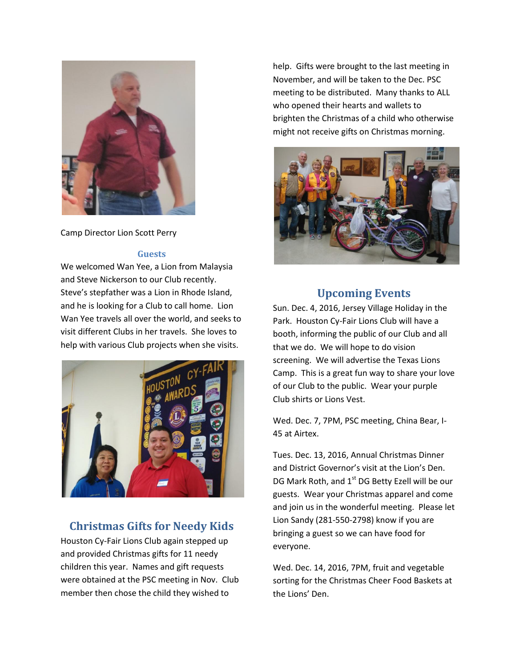

Camp Director Lion Scott Perry

#### **Guests**

We welcomed Wan Yee, a Lion from Malaysia and Steve Nickerson to our Club recently. Steve's stepfather was a Lion in Rhode Island, and he is looking for a Club to call home. Lion Wan Yee travels all over the world, and seeks to visit different Clubs in her travels. She loves to help with various Club projects when she visits.



## **Christmas Gifts for Needy Kids**

Houston Cy-Fair Lions Club again stepped up and provided Christmas gifts for 11 needy children this year. Names and gift requests were obtained at the PSC meeting in Nov. Club member then chose the child they wished to

help. Gifts were brought to the last meeting in November, and will be taken to the Dec. PSC meeting to be distributed. Many thanks to ALL who opened their hearts and wallets to brighten the Christmas of a child who otherwise might not receive gifts on Christmas morning.



## **Upcoming Events**

Sun. Dec. 4, 2016, Jersey Village Holiday in the Park. Houston Cy-Fair Lions Club will have a booth, informing the public of our Club and all that we do. We will hope to do vision screening. We will advertise the Texas Lions Camp. This is a great fun way to share your love of our Club to the public. Wear your purple Club shirts or Lions Vest.

Wed. Dec. 7, 7PM, PSC meeting, China Bear, I-45 at Airtex.

Tues. Dec. 13, 2016, Annual Christmas Dinner and District Governor's visit at the Lion's Den. DG Mark Roth, and 1<sup>st</sup> DG Betty Ezell will be our guests. Wear your Christmas apparel and come and join us in the wonderful meeting. Please let Lion Sandy (281-550-2798) know if you are bringing a guest so we can have food for everyone.

Wed. Dec. 14, 2016, 7PM, fruit and vegetable sorting for the Christmas Cheer Food Baskets at the Lions' Den.